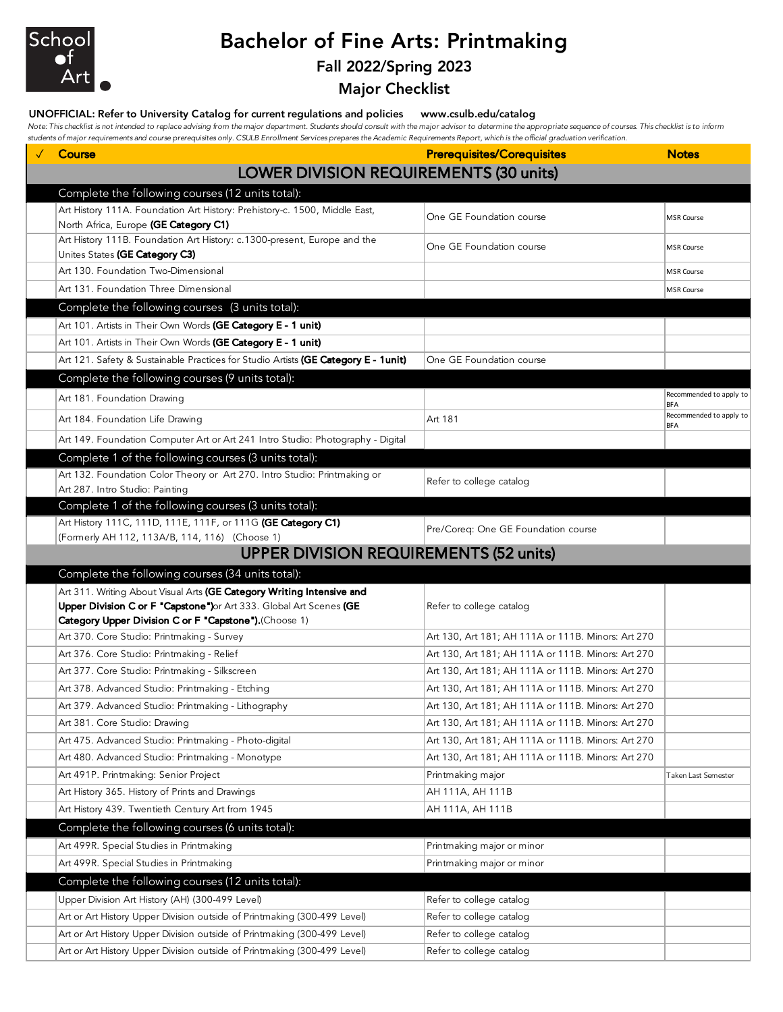

# Bachelor of Fine Arts: Printmaking

## Fall 2022/Spring 2023

Major Checklist

#### UNOFFICIAL: Refer to University Catalog for current regulations and policies www.csulb.edu/catalog

*Note: This checklist is not intended to replace advising from the major department. Students should consult with the major advisor to determine the appropriate sequence of courses. This checklist is to inform students of major requirements and course prerequisites only. CSULB Enrollment Services prepares the Academic Requirements Report, which is the official graduation verification.*

| Course                                                                                                       | <b>Prerequisites/Corequisites</b>                  | <b>Notes</b>                          |  |  |  |
|--------------------------------------------------------------------------------------------------------------|----------------------------------------------------|---------------------------------------|--|--|--|
| LOWER DIVISION REQUIREMENTS (30 units)                                                                       |                                                    |                                       |  |  |  |
| Complete the following courses (12 units total):                                                             |                                                    |                                       |  |  |  |
| Art History 111A. Foundation Art History: Prehistory-c. 1500, Middle East,                                   |                                                    |                                       |  |  |  |
| North Africa, Europe (GE Category C1)                                                                        | One GE Foundation course                           | <b>MSR Course</b>                     |  |  |  |
| Art History 111B. Foundation Art History: c.1300-present, Europe and the<br>Unites States (GE Category C3)   | One GE Foundation course                           | <b>MSR Course</b>                     |  |  |  |
| Art 130. Foundation Two-Dimensional                                                                          |                                                    | MSR Course                            |  |  |  |
| Art 131. Foundation Three Dimensional                                                                        |                                                    | <b>MSR Course</b>                     |  |  |  |
| Complete the following courses (3 units total):                                                              |                                                    |                                       |  |  |  |
| Art 101. Artists in Their Own Words (GE Category E - 1 unit)                                                 |                                                    |                                       |  |  |  |
| Art 101. Artists in Their Own Words (GE Category E - 1 unit)                                                 |                                                    |                                       |  |  |  |
| Art 121. Safety & Sustainable Practices for Studio Artists (GE Category E - 1unit)                           | One GE Foundation course                           |                                       |  |  |  |
| Complete the following courses (9 units total):                                                              |                                                    |                                       |  |  |  |
| Art 181. Foundation Drawing                                                                                  |                                                    | Recommended to apply to               |  |  |  |
| Art 184. Foundation Life Drawing                                                                             | Art 181                                            | <b>BFA</b><br>Recommended to apply to |  |  |  |
|                                                                                                              |                                                    | <b>BFA</b>                            |  |  |  |
| Art 149. Foundation Computer Art or Art 241 Intro Studio: Photography - Digital                              |                                                    |                                       |  |  |  |
| Complete 1 of the following courses (3 units total):                                                         |                                                    |                                       |  |  |  |
| Art 132. Foundation Color Theory or Art 270. Intro Studio: Printmaking or<br>Art 287. Intro Studio: Painting | Refer to college catalog                           |                                       |  |  |  |
| Complete 1 of the following courses (3 units total):                                                         |                                                    |                                       |  |  |  |
| Art History 111C, 111D, 111E, 111F, or 111G (GE Category C1)                                                 |                                                    |                                       |  |  |  |
| (Formerly AH 112, 113A/B, 114, 116) (Choose 1)                                                               | Pre/Coreq: One GE Foundation course                |                                       |  |  |  |
| <b>UPPER DIVISION REQUIREMENTS (52 units)</b>                                                                |                                                    |                                       |  |  |  |
| Complete the following courses (34 units total):                                                             |                                                    |                                       |  |  |  |
| Art 311. Writing About Visual Arts (GE Category Writing Intensive and                                        |                                                    |                                       |  |  |  |
| Upper Division C or F "Capstone")or Art 333. Global Art Scenes (GE                                           | Refer to college catalog                           |                                       |  |  |  |
| Category Upper Division C or F "Capstone").(Choose 1)                                                        |                                                    |                                       |  |  |  |
| Art 370. Core Studio: Printmaking - Survey                                                                   | Art 130, Art 181; AH 111A or 111B. Minors: Art 270 |                                       |  |  |  |
| Art 376. Core Studio: Printmaking - Relief                                                                   | Art 130, Art 181; AH 111A or 111B. Minors: Art 270 |                                       |  |  |  |
| Art 377. Core Studio: Printmaking - Silkscreen                                                               | Art 130, Art 181; AH 111A or 111B. Minors: Art 270 |                                       |  |  |  |
| Art 378. Advanced Studio: Printmaking - Etching                                                              | Art 130, Art 181; AH 111A or 111B. Minors: Art 270 |                                       |  |  |  |
| Art 379. Advanced Studio: Printmaking - Lithography                                                          | Art 130, Art 181; AH 111A or 111B. Minors: Art 270 |                                       |  |  |  |
| Art 381. Core Studio: Drawing                                                                                | Art 130, Art 181; AH 111A or 111B. Minors: Art 270 |                                       |  |  |  |
| Art 475. Advanced Studio: Printmaking - Photo-digital                                                        | Art 130, Art 181; AH 111A or 111B. Minors: Art 270 |                                       |  |  |  |
| Art 480. Advanced Studio: Printmaking - Monotype                                                             | Art 130, Art 181; AH 111A or 111B. Minors: Art 270 |                                       |  |  |  |
| Art 491P. Printmaking: Senior Project                                                                        | Printmaking major                                  | Taken Last Semester                   |  |  |  |
| Art History 365. History of Prints and Drawings                                                              | AH 111A, AH 111B                                   |                                       |  |  |  |
| Art History 439. Twentieth Century Art from 1945                                                             | AH 111A, AH 111B                                   |                                       |  |  |  |
| Complete the following courses (6 units total):                                                              |                                                    |                                       |  |  |  |
| Art 499R. Special Studies in Printmaking                                                                     | Printmaking major or minor                         |                                       |  |  |  |
| Art 499R. Special Studies in Printmaking                                                                     | Printmaking major or minor                         |                                       |  |  |  |
| Complete the following courses (12 units total):                                                             |                                                    |                                       |  |  |  |
| Upper Division Art History (AH) (300-499 Level)                                                              | Refer to college catalog                           |                                       |  |  |  |
| Art or Art History Upper Division outside of Printmaking (300-499 Level)                                     | Refer to college catalog                           |                                       |  |  |  |
| Art or Art History Upper Division outside of Printmaking (300-499 Level)                                     | Refer to college catalog                           |                                       |  |  |  |
| Art or Art History Upper Division outside of Printmaking (300-499 Level)                                     | Refer to college catalog                           |                                       |  |  |  |